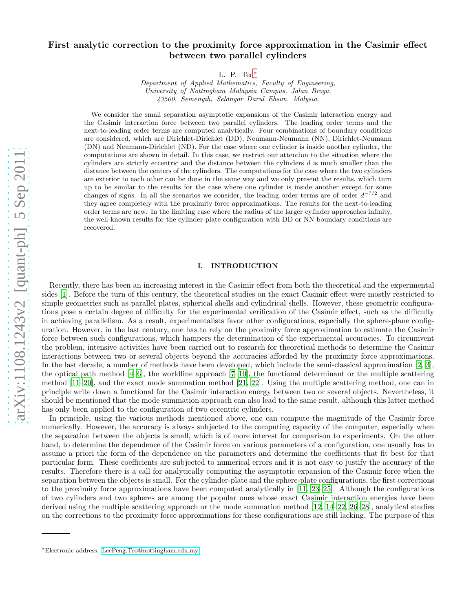# First analytic correction to the proximity force approximation in the Casimir effect between two parallel cylinders

L. P. Teo[∗](#page-0-0)

Department of Applied Mathematics, Faculty of Engineering, University of Nottingham Malaysia Campus, Jalan Broga, 43500, Semenyih, Selangor Darul Ehsan, Malysia.

We consider the small separation asymptotic expansions of the Casimir interaction energy and the Casimir interaction force between two parallel cylinders. The leading order terms and the next-to-leading order terms are computed analytically. Four combinations of boundary conditions are considered, which are Dirichlet-Dirichlet (DD), Neumann-Neumann (NN), Dirichlet-Neumann (DN) and Neumann-Dirichlet (ND). For the case where one cylinder is inside another cylinder, the computations are shown in detail. In this case, we restrict our attention to the situation where the cylinders are strictly eccentric and the distance between the cylinders  $d$  is much smaller than the distance between the centers of the cylinders. The computations for the case where the two cylinders are exterior to each other can be done in the same way and we only present the results, which turn up to be similar to the results for the case where one cylinder is inside another except for some changes of signs. In all the scenarios we consider, the leading order terms are of order  $d^{-7/2}$  and they agree completely with the proximity force approximations. The results for the next-to-leading order terms are new. In the limiting case where the radius of the larger cylinder approaches infinity, the well-known results for the cylinder-plate configuration with DD or NN boundary conditions are recovered.

## I. INTRODUCTION

Recently, there has been an increasing interest in the Casimir effect from both the theoretical and the experimental sides [\[1\]](#page-16-0). Before the turn of this century, the theoretical studies on the exact Casimir effect were mostly restricted to simple geometries such as parallel plates, spherical shells and cylindrical shells. However, these geometric configurations pose a certain degree of difficulty for the experimental verification of the Casimir effect, such as the difficulty in achieving parallelism. As a result, experimentalists favor other configurations, especially the sphere-plane configuration. However, in the last century, one has to rely on the proximity force approximation to estimate the Casimir force between such configurations, which hampers the determination of the experimental accuracies. To circumvent the problem, intensive activities have been carried out to research for theoretical methods to determine the Casimir interactions between two or several objects beyond the accuracies afforded by the proximity force approximations. In the last decade, a number of methods have been developed, which include the semi-classical approximation [\[2,](#page-16-1) [3\]](#page-16-2), the optical path method [\[4](#page-16-3)[–6\]](#page-16-4), the worldline approach [\[7](#page-16-5)[–10\]](#page-16-6), the functional determinant or the multiple scattering method [\[11](#page-16-7)[–20](#page-16-8)], and the exact mode summation method [\[21](#page-16-9), [22\]](#page-17-0). Using the multiple scattering method, one can in principle write down a functional for the Casimir interaction energy between two or several objects. Nevertheless, it should be mentioned that the mode summation approach can also lead to the same result, although this latter method has only been applied to the configuration of two eccentric cylinders.

In principle, using the various methods mentioned above, one can compute the magnitude of the Casimir force numerically. However, the accuracy is always subjected to the computing capacity of the computer, especially when the separation between the objects is small, which is of more interest for comparison to experiments. On the other hand, to determine the dependence of the Casimir force on various parameters of a configuration, one usually has to assume a priori the form of the dependence on the parameters and determine the coefficients that fit best for that particular form. These coefficients are subjected to numerical errors and it is not easy to justify the accuracy of the results. Therefore there is a call for analytically computing the asymptotic expansion of the Casimir force when the separation between the objects is small. For the cylinder-plate and the sphere-plate configurations, the first corrections to the proximity force approximations have been computed analytically in [\[11,](#page-16-7) [23](#page-17-1)[–25\]](#page-17-2). Although the configurations of two cylinders and two spheres are among the popular ones whose exact Casimir interaction energies have been derived using the multiple scattering approach or the mode summation method [\[12,](#page-16-10) [14](#page-16-11)[–22,](#page-17-0) [26](#page-17-3)[–28\]](#page-17-4), analytical studies on the corrections to the proximity force approximations for these configurations are still lacking. The purpose of this

<span id="page-0-0"></span><sup>∗</sup>Electronic address: [LeePeng.Teo@nottingham.edu.my](mailto:LeePeng.Teo@nottingham.edu.my)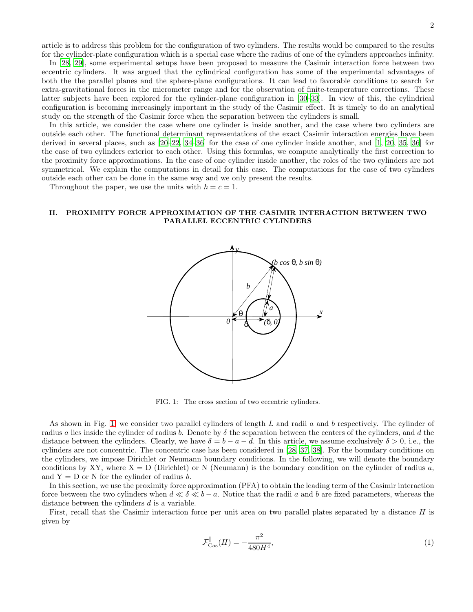article is to address this problem for the configuration of two cylinders. The results would be compared to the results for the cylinder-plate configuration which is a special case where the radius of one of the cylinders approaches infinity.

In [\[28,](#page-17-4) [29\]](#page-17-5), some experimental setups have been proposed to measure the Casimir interaction force between two eccentric cylinders. It was argued that the cylindrical configuration has some of the experimental advantages of both the the parallel planes and the sphere-plane configurations. It can lead to favorable conditions to search for extra-gravitational forces in the micrometer range and for the observation of finite-temperature corrections. These latter subjects have been explored for the cylinder-plane configuration in [\[30](#page-17-6)[–33\]](#page-17-7). In view of this, the cylindrical configuration is becoming increasingly important in the study of the Casimir effect. It is timely to do an analytical study on the strength of the Casimir force when the separation between the cylinders is small.

In this article, we consider the case where one cylinder is inside another, and the case where two cylinders are outside each other. The functional determinant representations of the exact Casimir interaction energies have been derived in several places, such as [\[20](#page-16-8)[–22](#page-17-0), [34](#page-17-8)[–36\]](#page-17-9) for the case of one cylinder inside another, and [\[1](#page-16-0), [20,](#page-16-8) [35,](#page-17-10) [36](#page-17-9)] for the case of two cylinders exterior to each other. Using this formulas, we compute analytically the first correction to the proximity force approximations. In the case of one cylinder inside another, the roles of the two cylinders are not symmetrical. We explain the computations in detail for this case. The computations for the case of two cylinders outside each other can be done in the same way and we only present the results.

Throughout the paper, we use the units with  $\hbar = c = 1$ .

## II. PROXIMITY FORCE APPROXIMATION OF THE CASIMIR INTERACTION BETWEEN TWO PARALLEL ECCENTRIC CYLINDERS



<span id="page-1-0"></span>FIG. 1: The cross section of two eccentric cylinders.

As shown in Fig. [1,](#page-1-0) we consider two parallel cylinders of length L and radii a and b respectively. The cylinder of radius a lies inside the cylinder of radius b. Denote by  $\delta$  the separation between the centers of the cylinders, and d the distance between the cylinders. Clearly, we have  $\delta = b - a - d$ . In this article, we assume exclusively  $\delta > 0$ , i.e., the cylinders are not concentric. The concentric case has been considered in [\[28](#page-17-4), [37,](#page-17-11) [38\]](#page-17-12). For the boundary conditions on the cylinders, we impose Dirichlet or Neumann boundary conditions. In the following, we will denote the boundary conditions by XY, where  $X = D$  (Dirichlet) or N (Neumann) is the boundary condition on the cylinder of radius a, and  $Y = D$  or N for the cylinder of radius b.

In this section, we use the proximity force approximation (PFA) to obtain the leading term of the Casimir interaction force between the two cylinders when  $d \ll \delta \ll b - a$ . Notice that the radii a and b are fixed parameters, whereas the distance between the cylinders d is a variable.

First, recall that the Casimir interaction force per unit area on two parallel plates separated by a distance  $H$  is given by

<span id="page-1-1"></span>
$$
\mathcal{F}_{\text{Cas}}^{\parallel}(H) = -\frac{\pi^2}{480H^4},\tag{1}
$$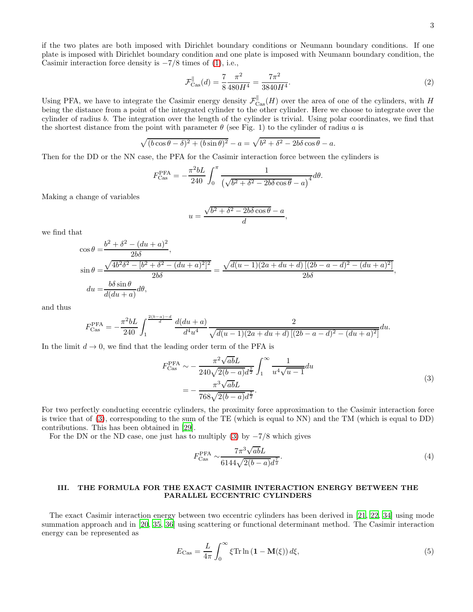if the two plates are both imposed with Dirichlet boundary conditions or Neumann boundary conditions. If one plate is imposed with Dirichlet boundary condition and one plate is imposed with Neumann boundary condition, the Casimir interaction force density is  $-7/8$  times of [\(1\)](#page-1-1), i.e.,

$$
\mathcal{F}_{\text{Cas}}^{\parallel}(d) = \frac{7}{8} \frac{\pi^2}{480H^4} = \frac{7\pi^2}{3840H^4}.
$$
\n(2)

Using PFA, we have to integrate the Casimir energy density  $\mathcal{F}_{\text{Cas}}^{\parallel}(H)$  over the area of one of the cylinders, with H being the distance from a point of the integrated cylinder to the other cylinder. Here we choose to integrate over the cylinder of radius b. The integration over the length of the cylinder is trivial. Using polar coordinates, we find that the shortest distance from the point with parameter  $\theta$  (see Fig. 1) to the cylinder of radius a is

$$
\sqrt{(b\cos\theta-\delta)^2+(b\sin\theta)^2}-a=\sqrt{b^2+\delta^2-2b\delta\cos\theta}-a.
$$

Then for the DD or the NN case, the PFA for the Casimir interaction force between the cylinders is

$$
F_{\text{Cas}}^{\text{PFA}} = -\frac{\pi^2 bL}{240} \int_0^{\pi} \frac{1}{\left(\sqrt{b^2 + \delta^2 - 2b\delta\cos\theta} - a\right)^4} d\theta.
$$

Making a change of variables

$$
u = \frac{\sqrt{b^2 + \delta^2 - 2b\delta\cos\theta} - a}{d},
$$

we find that

$$
\cos \theta = \frac{b^2 + \delta^2 - (du + a)^2}{2b\delta},
$$
  
\n
$$
\sin \theta = \frac{\sqrt{4b^2\delta^2 - [b^2 + \delta^2 - (du + a)^2]^2}}{2b\delta} = \frac{\sqrt{d(u - 1)(2a + du + d)[(2b - a - d)^2 - (du + a)^2]}}{2b\delta},
$$
  
\n
$$
du = \frac{b\delta \sin \theta}{d(du + a)}d\theta,
$$

and thus

$$
F_{\text{Cas}}^{\text{PFA}} = -\frac{\pi^2 bL}{240} \int_1^{\frac{2(b-a)-d}{d}} \frac{d(du+a)}{d^4 u^4} \frac{d(du+a)}{\sqrt{d(u-1)(2a+du+d)\left[(2b-a-d)^2-(du+a)^2\right]}} du.
$$

In the limit  $d \to 0$ , we find that the leading order term of the PFA is

$$
F_{\text{Cas}}^{\text{PFA}} \sim -\frac{\pi^2 \sqrt{ab} L}{240 \sqrt{2(b-a)} d^{\frac{7}{2}}} \int_1^{\infty} \frac{1}{u^4 \sqrt{u-1}} du
$$
  
= 
$$
-\frac{\pi^3 \sqrt{ab} L}{768 \sqrt{2(b-a)} d^{\frac{7}{2}}}.
$$
 (3)

<span id="page-2-0"></span>For two perfectly conducting eccentric cylinders, the proximity force approximation to the Casimir interaction force is twice that of [\(3\)](#page-2-0), corresponding to the sum of the TE (which is equal to NN) and the TM (which is equal to DD) contributions. This has been obtained in [\[29\]](#page-17-5).

For the DN or the ND case, one just has to multiply [\(3\)](#page-2-0) by  $-\frac{7}{8}$  which gives

$$
F_{\text{Cas}}^{\text{PFA}} \sim \frac{7\pi^3 \sqrt{ab} L}{6144\sqrt{2(b-a)}d^{\frac{7}{2}}}.
$$
\n
$$
\tag{4}
$$

## III. THE FORMULA FOR THE EXACT CASIMIR INTERACTION ENERGY BETWEEN THE PARALLEL ECCENTRIC CYLINDERS

The exact Casimir interaction energy between two eccentric cylinders has been derived in [\[21,](#page-16-9) [22,](#page-17-0) [34](#page-17-8)] using mode summation approach and in [\[20](#page-16-8), [35](#page-17-10), [36](#page-17-9)] using scattering or functional determinant method. The Casimir interaction energy can be represented as

<span id="page-2-1"></span>
$$
E_{\text{Cas}} = \frac{L}{4\pi} \int_0^\infty \xi \text{Tr} \ln\left(\mathbf{1} - \mathbf{M}(\xi)\right) d\xi,\tag{5}
$$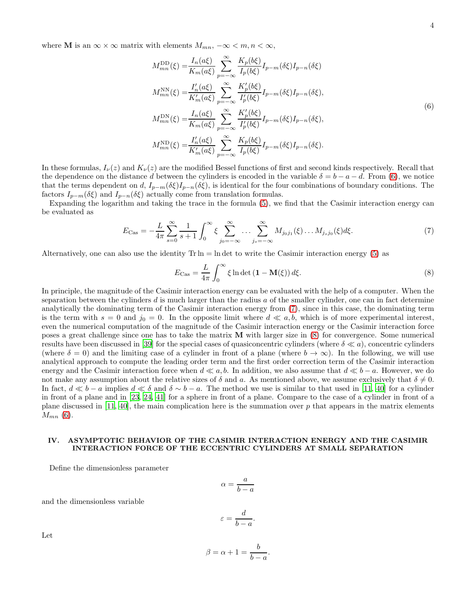<span id="page-3-0"></span>where **M** is an  $\infty \times \infty$  matrix with elements  $M_{mn}$ ,  $-\infty \leq m, n \leq \infty$ ,

$$
M_{mn}^{\text{DD}}(\xi) = \frac{I_n(a\xi)}{K_m(a\xi)} \sum_{p=-\infty}^{\infty} \frac{K_p(b\xi)}{I_p(b\xi)} I_{p-m}(\delta\xi) I_{p-n}(\delta\xi)
$$
  
\n
$$
M_{mn}^{\text{NN}}(\xi) = \frac{I'_n(a\xi)}{K'_m(a\xi)} \sum_{p=-\infty}^{\infty} \frac{K'_p(b\xi)}{I'_p(b\xi)} I_{p-m}(\delta\xi) I_{p-n}(\delta\xi),
$$
  
\n
$$
M_{mn}^{\text{DN}}(\xi) = \frac{I_n(a\xi)}{K_m(a\xi)} \sum_{p=-\infty}^{\infty} \frac{K'_p(b\xi)}{I'_p(b\xi)} I_{p-m}(\delta\xi) I_{p-n}(\delta\xi),
$$
  
\n
$$
M_{mn}^{\text{ND}}(\xi) = \frac{I'_n(a\xi)}{K'_m(a\xi)} \sum_{p=-\infty}^{\infty} \frac{K_p(b\xi)}{I_p(b\xi)} I_{p-m}(\delta\xi) I_{p-n}(\delta\xi).
$$
  
\n(6)

In these formulas,  $I_{\nu}(z)$  and  $K_{\nu}(z)$  are the modified Bessel functions of first and second kinds respectively. Recall that the dependence on the distance d between the cylinders is encoded in the variable  $\delta = b - a - d$ . From [\(6\)](#page-3-0), we notice that the terms dependent on d,  $I_{p-m}(\delta\xi)I_{p-n}(\delta\xi)$ , is identical for the four combinations of boundary conditions. The factors  $I_{p-m}(\delta \xi)$  and  $I_{p-n}(\delta \xi)$  actually come from translation formulas.

Expanding the logarithm and taking the trace in the formula [\(5\)](#page-2-1), we find that the Casimir interaction energy can be evaluated as

<span id="page-3-1"></span>
$$
E_{\text{Cas}} = -\frac{L}{4\pi} \sum_{s=0}^{\infty} \frac{1}{s+1} \int_0^{\infty} \xi \sum_{j_0=-\infty}^{\infty} \dots \sum_{j_s=-\infty}^{\infty} M_{j_0j_1}(\xi) \dots M_{j_sj_0}(\xi) d\xi.
$$
 (7)

Alternatively, one can also use the identity  $\text{Tr} \ln = \ln \det \cot \theta$  write the Casimir interaction energy [\(5\)](#page-2-1) as

<span id="page-3-2"></span>
$$
E_{\text{Cas}} = \frac{L}{4\pi} \int_0^\infty \xi \ln \det \left( \mathbf{1} - \mathbf{M}(\xi) \right) d\xi.
$$
 (8)

In principle, the magnitude of the Casimir interaction energy can be evaluated with the help of a computer. When the separation between the cylinders  $d$  is much larger than the radius  $a$  of the smaller cylinder, one can in fact determine analytically the dominating term of the Casimir interaction energy from [\(7\)](#page-3-1), since in this case, the dominating term is the term with  $s = 0$  and  $j_0 = 0$ . In the opposite limit where  $d \ll a, b$ , which is of more experimental interest, even the numerical computation of the magnitude of the Casimir interaction energy or the Casimir interaction force poses a great challenge since one has to take the matrix M with larger size in [\(8\)](#page-3-2) for convergence. Some numerical results have been discussed in [\[39\]](#page-17-13) for the special cases of quasiconcentric cylinders (where  $\delta \ll a$ ), concentric cylinders (where  $\delta = 0$ ) and the limiting case of a cylinder in front of a plane (where  $b \to \infty$ ). In the following, we will use analytical approach to compute the leading order term and the first order correction term of the Casimir interaction energy and the Casimir interaction force when  $d \ll a, b$ . In addition, we also assume that  $d \ll b - a$ . However, we do not make any assumption about the relative sizes of  $\delta$  and a. As mentioned above, we assume exclusively that  $\delta \neq 0$ . In fact,  $d \ll b - a$  implies  $d \ll \delta$  and  $\delta \sim b - a$ . The method we use is similar to that used in [\[11](#page-16-7), [40](#page-17-14)] for a cylinder in front of a plane and in [\[23,](#page-17-1) [24](#page-17-15), [41](#page-17-16)] for a sphere in front of a plane. Compare to the case of a cylinder in front of a plane discussed in [\[11,](#page-16-7) [40\]](#page-17-14), the main complication here is the summation over  $p$  that appears in the matrix elements  $M_{mn}$  [\(6\)](#page-3-0).

## IV. ASYMPTOTIC BEHAVIOR OF THE CASIMIR INTERACTION ENERGY AND THE CASIMIR INTERACTION FORCE OF THE ECCENTRIC CYLINDERS AT SMALL SEPARATION

Define the dimensionless parameter

$$
\alpha = \frac{a}{b-a}
$$

and the dimensionless variable

$$
\varepsilon = \frac{d}{b-a}.
$$

Let

$$
\frac{1}{2}
$$

$$
\beta = \alpha + 1 = \frac{b}{b - a}.
$$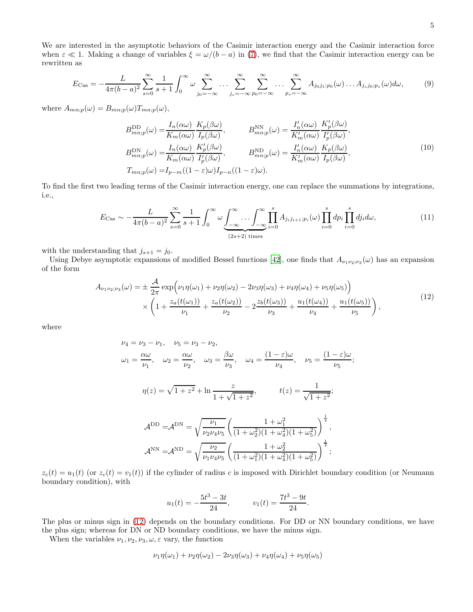We are interested in the asymptotic behaviors of the Casimir interaction energy and the Casimir interaction force when  $\varepsilon \ll 1$ . Making a change of variables  $\xi = \omega/(b-a)$  in [\(7\)](#page-3-1), we find that the Casimir interaction energy can be rewritten as

<span id="page-4-1"></span>
$$
E_{\text{Cas}} = -\frac{L}{4\pi(b-a)^2} \sum_{s=0}^{\infty} \frac{1}{s+1} \int_0^{\infty} \omega \sum_{j_0=-\infty}^{\infty} \dots \sum_{j_s=-\infty}^{\infty} \sum_{p_0=-\infty}^{\infty} \dots \sum_{p_s=-\infty}^{\infty} A_{j_0j_1;p_0}(\omega) \dots A_{j_sj_0;p_s}(\omega) d\omega, \tag{9}
$$

where  $A_{mn;p}(\omega) = B_{mn;p}(\omega) T_{mn;p}(\omega),$ 

$$
B_{mn;p}^{\text{DD}}(\omega) = \frac{I_n(\alpha\omega)}{K_m(\alpha\omega)} \frac{K_p(\beta\omega)}{I_p(\beta\omega)}, \qquad B_{mn;p}^{\text{NN}}(\omega) = \frac{I'_n(\alpha\omega)}{K'_m(\alpha\omega)} \frac{K'_p(\beta\omega)}{I'_p(\beta\omega)},
$$
  
\n
$$
B_{mn;p}^{\text{DN}}(\omega) = \frac{I_n(\alpha\omega)}{K_m(\alpha\omega)} \frac{K'_p(\beta\omega)}{I'_p(\beta\omega)}, \qquad B_{mn;p}^{\text{ND}}(\omega) = \frac{I'_n(\alpha\omega)}{K'_m(\alpha\omega)} \frac{K_p(\beta\omega)}{I_p(\beta\omega)},
$$
  
\n
$$
T_{mn;p}(\omega) = I_{p-m}((1-\varepsilon)\omega)I_{p-n}((1-\varepsilon)\omega).
$$
\n(10)

To find the first two leading terms of the Casimir interaction energy, one can replace the summations by integrations, i.e.,

$$
E_{\text{Cas}} \sim -\frac{L}{4\pi(b-a)^2} \sum_{s=0}^{\infty} \frac{1}{s+1} \int_0^{\infty} \omega \underbrace{\int_{-\infty}^{\infty} \dots \int_{-\infty}^{\infty} \prod_{i=0}^s A_{j_i j_{i+1}; p_i}(\omega)}_{(2s+2) \text{ times}} \prod_{i=0}^s dp_i \prod_{i=0}^s dj_i d\omega, \tag{11}
$$

with the understanding that  $j_{s+1} = j_0$ .

Using Debye asymptotic expansions of modified Bessel functions [\[42](#page-17-17)], one finds that  $A_{\nu_1\nu_2;\nu_3}(\omega)$  has an expansion of the form

$$
A_{\nu_1\nu_2;\nu_3}(\omega) = \pm \frac{\mathcal{A}}{2\pi} \exp\left(\nu_1 \eta(\omega_1) + \nu_2 \eta(\omega_2) - 2\nu_3 \eta(\omega_3) + \nu_4 \eta(\omega_4) + \nu_5 \eta(\omega_5)\right) \times \left(1 + \frac{z_a(t(\omega_1))}{\nu_1} + \frac{z_a(t(\omega_2))}{\nu_2} - 2\frac{z_b(t(\omega_3))}{\nu_3} + \frac{u_1(t(\omega_4))}{\nu_4} + \frac{u_1(t(\omega_5))}{\nu_5}\right),
$$
\n(12)

<span id="page-4-0"></span>where

$$
\nu_4 = \nu_3 - \nu_1, \quad \nu_5 = \nu_3 - \nu_2,
$$
  
\n
$$
\omega_1 = \frac{\alpha \omega}{\nu_1}, \quad \omega_2 = \frac{\alpha \omega}{\nu_2}, \quad \omega_3 = \frac{\beta \omega}{\nu_3}, \quad \omega_4 = \frac{(1 - \varepsilon)\omega}{\nu_4}, \quad \nu_5 = \frac{(1 - \varepsilon)\omega}{\nu_5};
$$
  
\n
$$
\eta(z) = \sqrt{1 + z^2} + \ln \frac{z}{1 + \sqrt{1 + z^2}}, \qquad t(z) = \frac{1}{\sqrt{1 + z^2}};
$$
  
\n
$$
\mathcal{A}^{DD} = \mathcal{A}^{DN} = \sqrt{\frac{\nu_1}{\nu_2 \nu_4 \nu_5}} \left( \frac{1 + \omega_1^2}{(1 + \omega_2^2)(1 + \omega_4^2)(1 + \omega_5^2)} \right)^{\frac{1}{4}},
$$
  
\n
$$
\mathcal{A}^{NN} = \mathcal{A}^{ND} = \sqrt{\frac{\nu_2}{\nu_1 \nu_4 \nu_5}} \left( \frac{1 + \omega_2^2}{(1 + \omega_1^2)(1 + \omega_4^2)(1 + \omega_5^2)} \right)^{\frac{1}{4}};
$$

 $z_c(t) = u_1(t)$  (or  $z_c(t) = v_1(t)$ ) if the cylinder of radius c is imposed with Dirichlet boundary condition (or Neumann boundary condition), with

$$
u_1(t) = -\frac{5t^3 - 3t}{24}
$$
,  $v_1(t) = \frac{7t^3 - 9t}{24}$ .

The plus or minus sign in [\(12\)](#page-4-0) depends on the boundary conditions. For DD or NN boundary conditions, we have the plus sign; whereas for DN or ND boundary conditions, we have the minus sign.

When the variables  $\nu_1, \nu_2, \nu_3, \omega, \varepsilon$  vary, the function

$$
\nu_1\eta(\omega_1)+\nu_2\eta(\omega_2)-2\nu_3\eta(\omega_3)+\nu_4\eta(\omega_4)+\nu_5\eta(\omega_5)
$$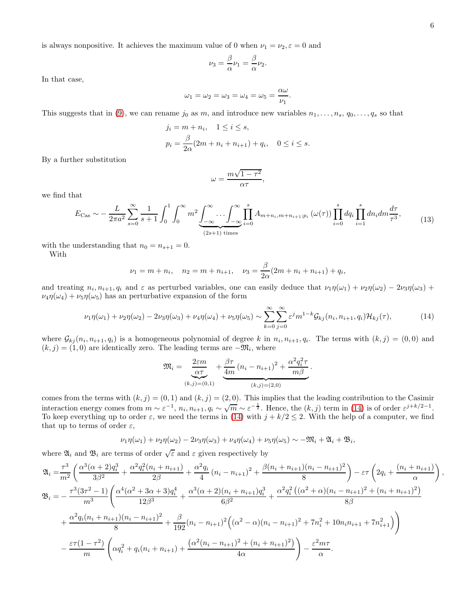is always nonpositive. It achieves the maximum value of 0 when  $\nu_1 = \nu_2, \varepsilon = 0$  and

$$
\nu_3 = \frac{\beta}{\alpha}\nu_1 = \frac{\beta}{\alpha}\nu_2.
$$

In that case,

$$
\omega_1 = \omega_2 = \omega_3 = \omega_4 = \omega_5 = \frac{\alpha \omega}{\nu_1}.
$$

This suggests that in [\(9\)](#page-4-1), we can rename  $j_0$  as m, and introduce new variables  $n_1, \ldots, n_s, q_0, \ldots, q_s$  so that

$$
j_i = m + n_i, \quad 1 \le i \le s,
$$
  

$$
p_i = \frac{\beta}{2\alpha}(2m + n_i + n_{i+1}) + q_i, \quad 0 \le i \le s.
$$

By a further substitution

$$
\omega = \frac{m\sqrt{1-\tau^2}}{\alpha\tau},
$$

<span id="page-5-1"></span>we find that

$$
E_{\text{Cas}} \sim -\frac{L}{2\pi a^2} \sum_{s=0}^{\infty} \frac{1}{s+1} \int_0^1 \int_0^{\infty} m^2 \underbrace{\int_{-\infty}^{\infty} \dots \int_{-\infty}^{\infty} \prod_{i=0}^s} A_{m+n_i, m+n_{i+1}; p_i} \left(\omega(\tau)\right) \prod_{i=0}^s dq_i \prod_{i=1}^s dn_i dm \frac{d\tau}{\tau^3},\tag{13}
$$

with the understanding that  $n_0 = n_{s+1} = 0$ .

With

$$
\nu_1 = m + n_i
$$
,  $n_2 = m + n_{i+1}$ ,  $\nu_3 = \frac{\beta}{2\alpha}(2m + n_i + n_{i+1}) + q_i$ 

and treating  $n_i, n_{i+1}, q_i$  and  $\varepsilon$  as perturbed variables, one can easily deduce that  $\nu_1\eta(\omega_1) + \nu_2\eta(\omega_2) - 2\nu_3\eta(\omega_3) +$  $\nu_4\eta(\omega_4) + \nu_5\eta(\omega_5)$  has an perturbative expansion of the form

<span id="page-5-0"></span>
$$
\nu_1 \eta(\omega_1) + \nu_2 \eta(\omega_2) - 2\nu_3 \eta(\omega_3) + \nu_4 \eta(\omega_4) + \nu_5 \eta(\omega_5) \sim \sum_{k=0}^{\infty} \sum_{j=0}^{\infty} \varepsilon^j m^{1-k} \mathcal{G}_{kj}(n_i, n_{i+1}, q_i) \mathcal{H}_{kj}(\tau),
$$
\n(14)

,

where  $\mathcal{G}_{kj}(n_i, n_{i+1}, q_i)$  is a homogeneous polynomial of degree k in  $n_i, n_{i+1}, q_i$ . The terms with  $(k, j) = (0, 0)$  and  $(k, j) = (1, 0)$  are identically zero. The leading terms are  $-\mathfrak{M}_i$ , where

$$
\mathfrak{M}_{i} = \underbrace{\frac{2\varepsilon m}{\alpha \tau}}_{(k,j)=(0,1)} + \underbrace{\frac{\beta \tau}{4m} (n_{i} - n_{i+1})^{2} + \frac{\alpha^{2} q_{i}^{2} \tau}{m \beta}}_{(k,j)=(2,0)}.
$$

comes from the terms with  $(k, j) = (0, 1)$  and  $(k, j) = (2, 0)$ . This implies that the leading contribution to the Casimir interaction energy comes from  $m \sim \varepsilon^{-1}$ ,  $n_i, n_{i+1}, q_i \sim \sqrt{m} \sim \varepsilon^{-\frac{1}{2}}$ . Hence, the  $(k, j)$  term in [\(14\)](#page-5-0) is of order  $\varepsilon^{j+k/2-1}$ . To keep everything up to order  $\varepsilon$ , we need the terms in [\(14\)](#page-5-0) with  $j + k/2 \le 2$ . With the help of a computer, we find that up to terms of order  $\varepsilon$ ,

$$
\nu_1\eta(\omega_1)+\nu_2\eta(\omega_2)-2\nu_3\eta(\omega_3)+\nu_4\eta(\omega_4)+\nu_5\eta(\omega_5)\sim-\mathfrak{M}_i+\mathfrak{A}_i+\mathfrak{B}_i,
$$

where  $\mathfrak{A}_i$  and  $\mathfrak{B}_i$  are terms of order  $\sqrt{\varepsilon}$  and  $\varepsilon$  given respectively by

$$
\mathfrak{A}_{i} = \frac{\tau^{3}}{m^{2}} \left( \frac{\alpha^{3}(\alpha+2)q_{i}^{3}}{3\beta^{2}} + \frac{\alpha^{2}q_{i}^{2}(n_{i}+n_{i+1})}{2\beta} + \frac{\alpha^{2}q_{i}}{4}(n_{i}-n_{i+1})^{2} + \frac{\beta(n_{i}+n_{i+1})(n_{i}-n_{i+1})^{2}}{8} \right) - \varepsilon\tau \left( 2q_{i} + \frac{(n_{i}+n_{i+1})}{\alpha} \right),
$$
\n
$$
\mathfrak{B}_{i} = -\frac{\tau^{3}(3\tau^{2}-1)}{m^{3}} \left( \frac{\alpha^{4}(\alpha^{2}+3\alpha+3)q_{i}^{4}}{12\beta^{3}} + \frac{\alpha^{3}(\alpha+2)(n_{i}+n_{i+1})q_{i}^{3}}{6\beta^{2}} + \frac{\alpha^{2}q_{i}^{2}((\alpha^{2}+\alpha)(n_{i}-n_{i+1})^{2}+(n_{i}+n_{i+1})^{2})}{8\beta} + \frac{\alpha^{2}q_{i}(n_{i}+n_{i+1})(n_{i}-n_{i+1})^{2}}{8} + \frac{\beta}{192}(n_{i}-n_{i+1})^{2} \left( (\alpha^{2}-\alpha)(n_{i}-n_{i+1})^{2} + 7n_{i}^{2} + 10n_{i}n_{i+1} + 7n_{i+1}^{2} \right) \right)
$$
\n
$$
-\frac{\varepsilon\tau(1-\tau^{2})}{m} \left( \alpha q_{i}^{2} + q_{i}(n_{i}+n_{i+1}) + \frac{(\alpha^{2}(n_{i}-n_{i+1})^{2}+(n_{i}+n_{i+1})^{2})}{4\alpha} \right) - \frac{\varepsilon^{2}m\tau}{\alpha}.
$$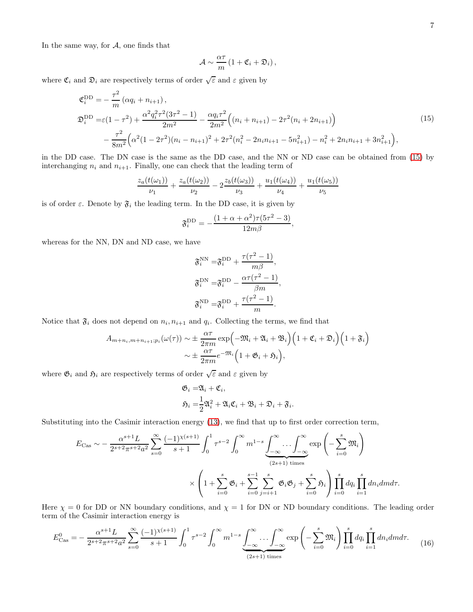In the same way, for  $A$ , one finds that

$$
\mathcal{A} \sim \frac{\alpha \tau}{m} \left( 1 + \mathfrak{C}_i + \mathfrak{D}_i \right),
$$

where  $\mathfrak{C}_i$  and  $\mathfrak{D}_i$  are respectively terms of order  $\sqrt{\varepsilon}$  and  $\varepsilon$  given by

$$
\mathfrak{C}_{i}^{\text{DD}} = -\frac{\tau^{2}}{m} \left( \alpha q_{i} + n_{i+1} \right),
$$
\n
$$
\mathfrak{D}_{i}^{\text{DD}} = \varepsilon (1 - \tau^{2}) + \frac{\alpha^{2} q_{i}^{2} \tau^{2} (3\tau^{2} - 1)}{2m^{2}} - \frac{\alpha q_{i} \tau^{2}}{2m^{2}} \left( (n_{i} + n_{i+1}) - 2\tau^{2} (n_{i} + 2n_{i+1}) \right)
$$
\n
$$
- \frac{\tau^{2}}{8m^{2}} \left( \alpha^{2} (1 - 2\tau^{2}) (n_{i} - n_{i+1})^{2} + 2\tau^{2} (n_{i}^{2} - 2n_{i} n_{i+1} - 5n_{i+1}^{2}) - n_{i}^{2} + 2n_{i} n_{i+1} + 3n_{i+1}^{2} \right),
$$
\n(15)

<span id="page-6-0"></span>in the DD case. The DN case is the same as the DD case, and the NN or ND case can be obtained from [\(15\)](#page-6-0) by interchanging  $n_i$  and  $n_{i+1}$ . Finally, one can check that the leading term of

$$
\frac{z_a(t(\omega_1))}{\nu_1} + \frac{z_a(t(\omega_2))}{\nu_2} - 2\frac{z_b(t(\omega_3))}{\nu_3} + \frac{u_1(t(\omega_4))}{\nu_4} + \frac{u_1(t(\omega_5))}{\nu_5}
$$

is of order  $\varepsilon$ . Denote by  $\mathfrak{F}_i$  the leading term. In the DD case, it is given by

$$
\mathfrak{F}^{\text{DD}}_i = -\frac{(1+\alpha+\alpha^2)\tau(5\tau^2-3)}{12m\beta},
$$

whereas for the NN, DN and ND case, we have

$$
\mathfrak{F}_i^{\text{NN}} = \mathfrak{F}_i^{\text{DD}} + \frac{\tau(\tau^2 - 1)}{m\beta},
$$
  

$$
\mathfrak{F}_i^{\text{DN}} = \mathfrak{F}_i^{\text{DD}} - \frac{\alpha\tau(\tau^2 - 1)}{\beta m},
$$
  

$$
\mathfrak{F}_i^{\text{ND}} = \mathfrak{F}_i^{\text{DD}} + \frac{\tau(\tau^2 - 1)}{m}.
$$

Notice that  $\mathfrak{F}_i$  does not depend on  $n_i, n_{i+1}$  and  $q_i$ . Collecting the terms, we find that

$$
A_{m+n_i,m+n_{i+1};p_i}(\omega(\tau)) \sim \pm \frac{\alpha \tau}{2\pi m} \exp\left(-\mathfrak{M}_i + \mathfrak{A}_i + \mathfrak{B}_i\right) \left(1 + \mathfrak{C}_i + \mathfrak{D}_i\right) \left(1 + \mathfrak{F}_i\right) \sim \pm \frac{\alpha \tau}{2\pi m} e^{-\mathfrak{M}_i} \left(1 + \mathfrak{G}_i + \mathfrak{H}_i\right),
$$

where  $\mathfrak{G}_i$  and  $\mathfrak{H}_i$  are respectively terms of order  $\sqrt{\varepsilon}$  and  $\varepsilon$  given by

$$
\mathfrak{G}_i = \mathfrak{A}_i + \mathfrak{C}_i,
$$
  

$$
\mathfrak{H}_i = \frac{1}{2} \mathfrak{A}_i^2 + \mathfrak{A}_i \mathfrak{C}_i + \mathfrak{B}_i + \mathfrak{D}_i + \mathfrak{F}_i
$$

.

Substituting into the Casimir interaction energy [\(13\)](#page-5-1), we find that up to first order correction term,

$$
E_{\text{Cas}} \sim -\frac{\alpha^{s+1} L}{2^{s+2} \pi^{s+2} a^2} \sum_{s=0}^{\infty} \frac{(-1)^{\chi(s+1)}}{s+1} \int_0^1 \tau^{s-2} \int_0^{\infty} m^{1-s} \underbrace{\int_{-\infty}^{\infty} \dots \int_{-\infty}^{\infty}}_{(2s+1) \text{ times}} \exp\left(-\sum_{i=0}^s \mathfrak{M}_i\right)
$$

$$
\times \left(1 + \sum_{i=0}^s \mathfrak{G}_i + \sum_{i=0}^{s-1} \sum_{j=i+1}^s \mathfrak{G}_i \mathfrak{G}_j + \sum_{i=0}^s \mathfrak{H}_i\right) \prod_{i=0}^s dq_i \prod_{i=1}^s dn_i dmd\tau.
$$

Here  $\chi = 0$  for DD or NN boundary conditions, and  $\chi = 1$  for DN or ND boundary conditions. The leading order term of the Casimir interaction energy is

<span id="page-6-1"></span>
$$
E_{\text{Cas}}^{0} = -\frac{\alpha^{s+1} L}{2^{s+2} \pi^{s+2} a^2} \sum_{s=0}^{\infty} \frac{(-1)^{\chi(s+1)}}{s+1} \int_0^1 \tau^{s-2} \int_0^{\infty} m^{1-s} \underbrace{\int_{-\infty}^{\infty} \dots \int_{-\infty}^{\infty}}_{(2s+1) \text{ times}} \exp\left(-\sum_{i=0}^s \mathfrak{M}_i\right) \prod_{i=0}^s dq_i \prod_{i=1}^s dn_i dmd\tau. \tag{16}
$$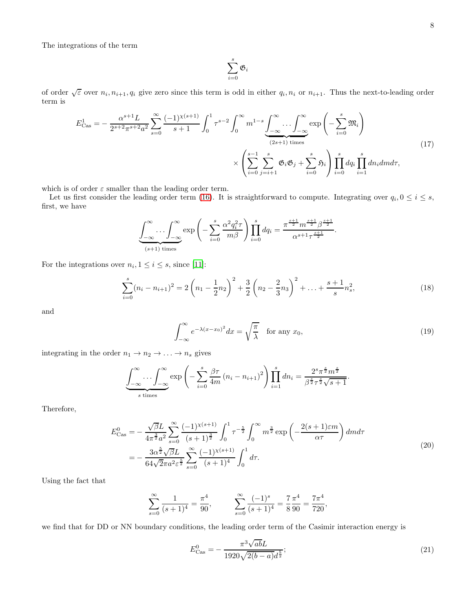The integrations of the term

$$
\sum_{i=0}^s \mathfrak{G}_i
$$

of order  $\sqrt{\varepsilon}$  over  $n_i, n_{i+1}, q_i$  give zero since this term is odd in either  $q_i, n_i$  or  $n_{i+1}$ . Thus the next-to-leading order term is

<span id="page-7-0"></span>
$$
E_{\text{Cas}}^{1} = -\frac{\alpha^{s+1} L}{2^{s+2} \pi^{s+2} a^2} \sum_{s=0}^{\infty} \frac{(-1)^{\chi(s+1)}}{s+1} \int_0^1 \tau^{s-2} \int_0^{\infty} m^{1-s} \underbrace{\int_{-\infty}^{\infty} \dots \int_{-\infty}^{\infty}}_{(2s+1) \text{ times}} \exp\left(-\sum_{i=0}^s \mathfrak{M}_i\right)
$$
\n
$$
\times \left(\sum_{i=0}^{s-1} \sum_{j=i+1}^s \mathfrak{G}_i \mathfrak{G}_j + \sum_{i=0}^s \mathfrak{H}_i\right) \prod_{i=0}^s dq_i \prod_{i=1}^s dn_i dmd\tau,
$$
\n(17)

which is of order  $\varepsilon$  smaller than the leading order term.

Let us first consider the leading order term [\(16\)](#page-6-1). It is straightforward to compute. Integrating over  $q_i, 0 \leq i \leq s$ , first, we have

$$
\underbrace{\int_{-\infty}^{\infty} \dots \int_{-\infty}^{\infty} \exp\left(-\sum_{i=0}^{s} \frac{\alpha^2 q_i^2 \tau}{m\beta}\right)}_{(s+1) \text{ times}} \prod_{i=0}^{s} dq_i = \frac{\pi^{\frac{s+1}{2}} m^{\frac{s+1}{2}} \beta^{\frac{s+1}{2}}}{\alpha^{s+1} \tau^{\frac{s+1}{2}}}.
$$

For the integrations over  $n_i, 1 \leq i \leq s$ , since [\[11\]](#page-16-7):

<span id="page-7-2"></span>
$$
\sum_{i=0}^{s} (n_i - n_{i+1})^2 = 2\left(n_1 - \frac{1}{2}n_2\right)^2 + \frac{3}{2}\left(n_2 - \frac{2}{3}n_3\right)^2 + \dots + \frac{s+1}{s}n_s^2,
$$
\n(18)

and

<span id="page-7-1"></span>
$$
\int_{-\infty}^{\infty} e^{-\lambda(x-x_0)^2} dx = \sqrt{\frac{\pi}{\lambda}} \quad \text{for any } x_0,
$$
\n(19)

integrating in the order  $n_1 \rightarrow n_2 \rightarrow \ldots \rightarrow n_s$  gives

$$
\underbrace{\int_{-\infty}^{\infty} \dots \int_{-\infty}^{\infty}}_{s \text{ times}} \exp\left(-\sum_{i=0}^{s} \frac{\beta \tau}{4m} (n_i - n_{i+1})^2\right) \prod_{i=1}^{s} dn_i = \frac{2^s \pi^{\frac{s}{2}} m^{\frac{s}{2}}}{\beta^{\frac{s}{2}} \tau^{\frac{s}{2}} \sqrt{s+1}}.
$$

Therefore,

$$
E_{\text{Cas}}^{0} = -\frac{\sqrt{\beta}L}{4\pi^{\frac{3}{2}}a^{2}} \sum_{s=0}^{\infty} \frac{(-1)^{\chi(s+1)}}{(s+1)^{\frac{3}{2}}} \int_{0}^{1} \tau^{-\frac{5}{2}} \int_{0}^{\infty} m^{\frac{3}{2}} \exp\left(-\frac{2(s+1)\varepsilon m}{\alpha \tau}\right) dm d\tau
$$
  
= 
$$
-\frac{3\alpha^{\frac{5}{2}}\sqrt{\beta}L}{64\sqrt{2}\pi a^{2}\varepsilon^{\frac{5}{2}}} \sum_{s=0}^{\infty} \frac{(-1)^{\chi(s+1)}}{(s+1)^{4}} \int_{0}^{1} d\tau.
$$
 (20)

Using the fact that

$$
\sum_{s=0}^{\infty} \frac{1}{(s+1)^4} = \frac{\pi^4}{90}, \qquad \sum_{s=0}^{\infty} \frac{(-1)^s}{(s+1)^4} = \frac{7\pi^4}{8\ 90} = \frac{7\pi^4}{720},
$$

we find that for DD or NN boundary conditions, the leading order term of the Casimir interaction energy is

$$
E_{\text{Cas}}^0 = -\frac{\pi^3 \sqrt{ab} L}{1920\sqrt{2(b-a)}d^{\frac{5}{2}}};\tag{21}
$$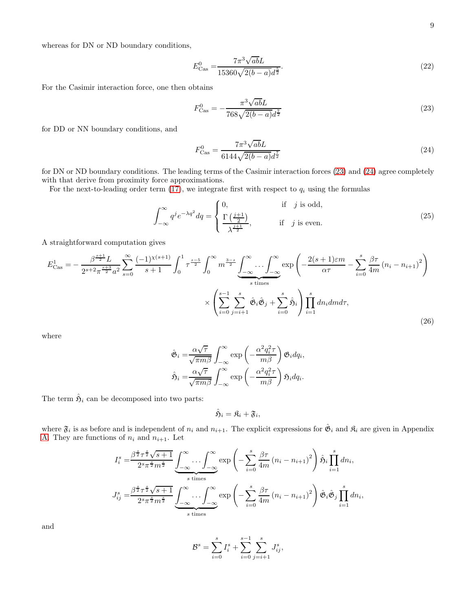whereas for DN or ND boundary conditions,

$$
E_{\text{Cas}}^{0} = \frac{7\pi^3 \sqrt{ab} L}{15360\sqrt{2(b-a)}d^{\frac{5}{2}}}.
$$
\n(22)

For the Casimir interaction force, one then obtains

<span id="page-8-0"></span>
$$
F_{\text{Cas}}^{0} = -\frac{\pi^3 \sqrt{ab} L}{768\sqrt{2(b-a)}d^{\frac{7}{2}}}
$$
\n(23)

for DD or NN boundary conditions, and

<span id="page-8-1"></span>
$$
F_{\text{Cas}}^{0} = \frac{7\pi^3 \sqrt{ab} L}{6144\sqrt{2(b-a)}d^{\frac{7}{2}}}
$$
\n(24)

for DN or ND boundary conditions. The leading terms of the Casimir interaction forces [\(23\)](#page-8-0) and [\(24\)](#page-8-1) agree completely with that derive from proximity force approximations.

For the next-to-leading order term  $(17)$ , we integrate first with respect to  $q_i$  using the formulas

<span id="page-8-2"></span>
$$
\int_{-\infty}^{\infty} q^j e^{-\lambda q^2} dq = \begin{cases} 0, & \text{if } j \text{ is odd,} \\ \frac{\Gamma\left(\frac{j+1}{2}\right)}{\lambda^{\frac{j+1}{2}}}, & \text{if } j \text{ is even.} \end{cases}
$$
(25)

A straightforward computation gives

$$
E_{\text{Cas}}^{1} = -\frac{\beta^{\frac{s+1}{2}} L}{2^{s+2} \pi^{\frac{s+3}{2}} a^2} \sum_{s=0}^{\infty} \frac{(-1)^{\chi(s+1)}}{s+1} \int_{0}^{1} \tau^{\frac{s-5}{2}} \int_{0}^{\infty} m^{\frac{3-s}{2}} \underbrace{\int_{-\infty}^{\infty} \dots \int_{-\infty}^{\infty}}_{s \text{ times}} \exp\left(-\frac{2(s+1)\varepsilon m}{\alpha \tau} - \sum_{i=0}^{s} \frac{\beta \tau}{4m} (n_i - n_{i+1})^2\right) \times \left(\sum_{i=0}^{s-1} \sum_{j=i+1}^{s} \hat{\mathfrak{G}}_i \hat{\mathfrak{G}}_j + \sum_{i=0}^{s} \hat{\mathfrak{H}}_i\right) \prod_{i=1}^{s} dn_i dmd\tau, \tag{26}
$$

where

$$
\hat{\mathfrak{G}}_i = \frac{\alpha \sqrt{\tau}}{\sqrt{\pi m \beta}} \int_{-\infty}^{\infty} \exp\left(-\frac{\alpha^2 q_i^2 \tau}{m \beta}\right) \mathfrak{G}_i dq_i,
$$
  

$$
\hat{\mathfrak{H}}_i = \frac{\alpha \sqrt{\tau}}{\sqrt{\pi m \beta}} \int_{-\infty}^{\infty} \exp\left(-\frac{\alpha^2 q_i^2 \tau}{m \beta}\right) \mathfrak{H}_i dq_i.
$$

The term  $\hat{\mathfrak{H}}_i$  can be decomposed into two parts:

$$
\hat{\mathfrak{H}}_i = \mathfrak{K}_i + \mathfrak{F}_i,
$$

where  $\mathfrak{F}_i$  is as before and is independent of  $n_i$  and  $n_{i+1}$ . The explicit expressions for  $\hat{\mathfrak{G}}_i$  and  $\mathfrak{K}_i$  are given in Appendix [A.](#page-13-0) They are functions of  $n_i$  and  $n_{i+1}$ . Let

$$
I_i^s = \frac{\beta^{\frac{s}{2}} \tau^{\frac{s}{2}} \sqrt{s+1}}{2^s \pi^{\frac{s}{2}} m^{\frac{s}{2}}} \underbrace{\int_{-\infty}^{\infty} \dots \int_{-\infty}^{\infty}}_{s \text{ times}} \exp\left(-\sum_{i=0}^s \frac{\beta \tau}{4m} (n_i - n_{i+1})^2\right) \hat{\mathfrak{H}}_i \prod_{i=1}^s dn_i,
$$
  

$$
J_{ij}^s = \frac{\beta^{\frac{s}{2}} \tau^{\frac{s}{2}} \sqrt{s+1}}{2^s \pi^{\frac{s}{2}} m^{\frac{s}{2}}} \underbrace{\int_{-\infty}^{\infty} \dots \int_{-\infty}^{\infty}}_{s \text{ times}} \exp\left(-\sum_{i=0}^s \frac{\beta \tau}{4m} (n_i - n_{i+1})^2\right) \hat{\mathfrak{G}}_i \hat{\mathfrak{G}}_j \prod_{i=1}^s dn_i,
$$

and

$$
\mathcal{B}^s = \sum_{i=0}^s I_i^s + \sum_{i=0}^{s-1} \sum_{j=i+1}^s J_{ij}^s,
$$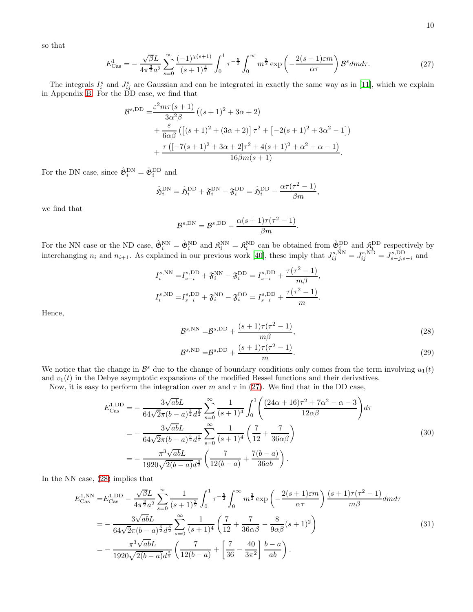<span id="page-9-0"></span>so that

$$
E_{\text{Cas}}^{1} = -\frac{\sqrt{\beta}L}{4\pi^{\frac{3}{2}}a^{2}} \sum_{s=0}^{\infty} \frac{(-1)^{\chi(s+1)}}{(s+1)^{\frac{3}{2}}} \int_{0}^{1} \tau^{-\frac{5}{2}} \int_{0}^{\infty} m^{\frac{3}{2}} \exp\left(-\frac{2(s+1)\varepsilon m}{\alpha \tau}\right) \mathcal{B}^{s} dm d\tau. \tag{27}
$$

The integrals  $I_i^s$  and  $J_{ij}^s$  are Gaussian and can be integrated in exactly the same way as in [\[11](#page-16-7)], which we explain in Appendix [B.](#page-14-0) For the DD case, we find that

$$
\mathcal{B}^{s,\text{DD}} = \frac{\varepsilon^2 m \tau (s+1)}{3\alpha^2 \beta} \left( (s+1)^2 + 3\alpha + 2 \right) \n+ \frac{\varepsilon}{6\alpha \beta} \left( \left[ (s+1)^2 + (3\alpha + 2) \right] \tau^2 + \left[ -2(s+1)^2 + 3\alpha^2 - 1 \right] \right) \n+ \frac{\tau \left( \left[ -7(s+1)^2 + 3\alpha + 2 \right] \tau^2 + 4(s+1)^2 + \alpha^2 - \alpha - 1 \right)}{16\beta m(s+1)}.
$$

For the DN case, since  $\hat{\mathfrak{G}}_i^{\text{DN}} = \hat{\mathfrak{G}}_i^{\text{DD}}$  and

$$
\hat{\mathfrak{H}}_i^{\text{DN}} = \hat{\mathfrak{H}}_i^{\text{DD}} + \mathfrak{F}_i^{\text{DN}} - \mathfrak{F}_i^{\text{DD}} = \hat{\mathfrak{H}}_i^{\text{DD}} - \frac{\alpha \tau (\tau^2 - 1)}{\beta m},
$$

we find that

$$
\mathcal{B}^{s,\text{DN}} = \mathcal{B}^{s,\text{DD}} - \frac{\alpha(s+1)\tau(\tau^2 - 1)}{\beta m}.
$$

For the NN case or the ND case,  $\hat{\mathfrak{G}}_i^{\text{NN}} = \hat{\mathfrak{G}}_i^{\text{ND}}$  and  $\mathfrak{K}_i^{\text{NN}} = \mathfrak{K}_i^{\text{ND}}$  can be obtained from  $\hat{\mathfrak{G}}_i^{\text{DD}}$  and  $\mathfrak{K}_i^{\text{DD}}$  respectively by interchanging  $n_i$  and  $n_{i+1}$ . As explained in our previous work [\[40\]](#page-17-14), these imply that  $J_{ij}^{s,NN} = J_{ij}^{s,ND} = J_{s-j,s-i}^{s,DD}$  and

$$
I_i^{s, \text{NN}} = I_{s-i}^{s, \text{DD}} + \mathfrak{F}_i^{\text{NN}} - \mathfrak{F}_i^{\text{DD}} = I_{s-i}^{s, \text{DD}} + \frac{\tau(\tau^2 - 1)}{m\beta},
$$
  

$$
I_i^{s, \text{ND}} = I_{s-i}^{s, \text{DD}} + \mathfrak{F}_i^{\text{ND}} - \mathfrak{F}_i^{\text{DD}} = I_{s-i}^{s, \text{DD}} + \frac{\tau(\tau^2 - 1)}{m}.
$$

Hence,

<span id="page-9-1"></span>
$$
\mathcal{B}^{s,\text{NN}} = \mathcal{B}^{s,\text{DD}} + \frac{(s+1)\tau(\tau^2 - 1)}{m\beta},\tag{28}
$$

$$
\mathcal{B}^{s,\text{ND}} = \mathcal{B}^{s,\text{DD}} + \frac{(s+1)\tau(\tau^2 - 1)}{m}.
$$
\n(29)

We notice that the change in  $\mathcal{B}^s$  due to the change of boundary conditions only comes from the term involving  $u_1(t)$ and  $v_1(t)$  in the Debye asymptotic expansions of the modified Bessel functions and their derivatives.

Now, it is easy to perform the integration over m and  $\tau$  in [\(27\)](#page-9-0). We find that in the DD case,

$$
E_{\text{Cas}}^{1,\text{DD}} = -\frac{3\sqrt{ab}L}{64\sqrt{2}\pi(b-a)^{\frac{3}{2}}d^{\frac{3}{2}}} \sum_{s=0}^{\infty} \frac{1}{(s+1)^{4}} \int_{0}^{1} \left( \frac{(24\alpha+16)\tau^{2}+7\alpha^{2}-\alpha-3}{12\alpha\beta} \right) d\tau
$$
  
= 
$$
-\frac{3\sqrt{ab}L}{64\sqrt{2}\pi(b-a)^{\frac{3}{2}}d^{\frac{3}{2}}} \sum_{s=0}^{\infty} \frac{1}{(s+1)^{4}} \left( \frac{7}{12} + \frac{7}{36\alpha\beta} \right)
$$

$$
= -\frac{\pi^{3}\sqrt{ab}L}{1920\sqrt{2(b-a)}d^{\frac{3}{2}}} \left( \frac{7}{12(b-a)} + \frac{7(b-a)}{36ab} \right).
$$
(30)

In the NN case, [\(28\)](#page-9-1) implies that

$$
E_{\text{Cas}}^{1,\text{NN}} = E_{\text{Cas}}^{1,\text{DD}} - \frac{\sqrt{\beta}L}{4\pi^{\frac{3}{2}}a^2} \sum_{s=0}^{\infty} \frac{1}{(s+1)^{\frac{3}{2}}} \int_0^1 \tau^{-\frac{5}{2}} \int_0^{\infty} m^{\frac{3}{2}} \exp\left(-\frac{2(s+1)\varepsilon m}{\alpha \tau}\right) \frac{(s+1)\tau(\tau^2-1)}{m\beta} dm d\tau
$$
  
= 
$$
-\frac{3\sqrt{ab}L}{64\sqrt{2}\pi(b-a)^{\frac{3}{2}}d^{\frac{3}{2}}} \sum_{s=0}^{\infty} \frac{1}{(s+1)^4} \left(\frac{7}{12} + \frac{7}{36\alpha\beta} - \frac{8}{9\alpha\beta}(s+1)^2\right)
$$

$$
= -\frac{\pi^3\sqrt{ab}L}{1920\sqrt{2(b-a)}d^{\frac{3}{2}}} \left(\frac{7}{12(b-a)} + \left[\frac{7}{36} - \frac{40}{3\pi^2}\right] \frac{b-a}{ab}\right).
$$
(31)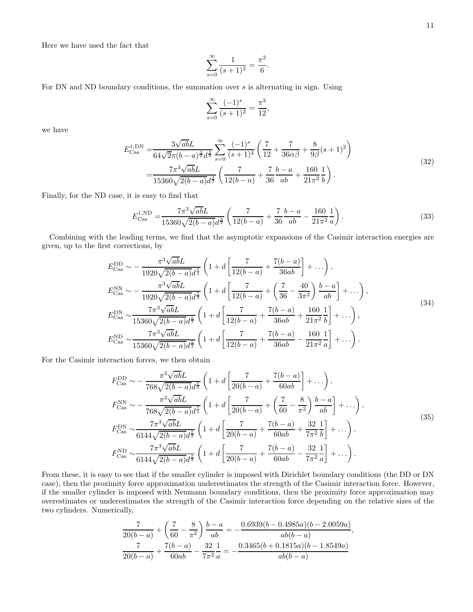Here we have used the fact that

$$
\sum_{s=0}^{\infty} \frac{1}{(s+1)^2} = \frac{\pi^2}{6}
$$

For DN and ND boundary conditions, the summation over s is alternating in sign. Using

$$
\sum_{s=0}^{\infty} \frac{(-1)^s}{(s+1)^2} = \frac{\pi^2}{12},
$$

we have

$$
E_{\text{Cas}}^{1,\text{DN}} = \frac{3\sqrt{ab}L}{64\sqrt{2}\pi(b-a)^{\frac{3}{2}}d^{\frac{3}{2}}} \sum_{s=0}^{\infty} \frac{(-1)^s}{(s+1)^4} \left(\frac{7}{12} + \frac{7}{36\alpha\beta} + \frac{8}{9\beta}(s+1)^2\right)
$$
  
= 
$$
\frac{7\pi^3\sqrt{ab}L}{15360\sqrt{2(b-a)}d^{\frac{3}{2}}} \left(\frac{7}{12(b-a)} + \frac{7}{36}\frac{b-a}{ab} + \frac{160}{21\pi^2}\frac{1}{b}\right).
$$
(32)

.

Finally, for the ND case, it is easy to find that

$$
E_{\text{Cas}}^{1,\text{ND}} = \frac{7\pi^3 \sqrt{ab} L}{15360\sqrt{2(b-a)}d^{\frac{3}{2}}} \left(\frac{7}{12(b-a)} + \frac{7}{36} \frac{b-a}{ab} - \frac{160}{21\pi^2} \frac{1}{a}\right). \tag{33}
$$

Combining with the leading terms, we find that the asymptotic expansions of the Casimir interaction energies are given, up to the first corrections, by

$$
E_{\text{Cas}}^{\text{DD}} \sim -\frac{\pi^3 \sqrt{ab} L}{1920 \sqrt{2(b-a)} d^{\frac{5}{2}}} \left( 1 + d \left[ \frac{7}{12(b-a)} + \frac{7(b-a)}{36ab} \right] + \dots \right),
$$
  
\n
$$
E_{\text{Cas}}^{\text{NN}} \sim -\frac{\pi^3 \sqrt{ab} L}{1920 \sqrt{2(b-a)} d^{\frac{5}{2}}} \left( 1 + d \left[ \frac{7}{12(b-a)} + \left( \frac{7}{36} - \frac{40}{3\pi^2} \right) \frac{b-a}{ab} \right] + \dots \right),
$$
  
\n
$$
E_{\text{Cas}}^{\text{DN}} \sim \frac{7\pi^3 \sqrt{ab} L}{15360 \sqrt{2(b-a)} d^{\frac{5}{2}}} \left( 1 + d \left[ \frac{7}{12(b-a)} + \frac{7(b-a)}{36ab} + \frac{160}{21\pi^2} \frac{1}{b} \right] + \dots \right),
$$
  
\n
$$
E_{\text{Cas}}^{\text{ND}} \sim \frac{7\pi^3 \sqrt{ab} L}{15360 \sqrt{2(b-a)} d^{\frac{5}{2}}} \left( 1 + d \left[ \frac{7}{12(b-a)} + \frac{7(b-a)}{36ab} - \frac{160}{21\pi^2} \frac{1}{a} \right] + \dots \right).
$$
  
\n(34)

<span id="page-10-1"></span>For the Casimir interaction forces, we then obtain

$$
F_{\text{Cas}}^{\text{DD}} \sim -\frac{\pi^3 \sqrt{ab} L}{768 \sqrt{2(b-a)} d^{\frac{7}{2}}} \left( 1 + d \left[ \frac{7}{20(b-a)} + \frac{7(b-a)}{60ab} \right] + \ldots \right),
$$
  
\n
$$
F_{\text{Cas}}^{\text{NN}} \sim -\frac{\pi^3 \sqrt{ab} L}{768 \sqrt{2(b-a)} d^{\frac{7}{2}}} \left( 1 + d \left[ \frac{7}{20(b-a)} + \left( \frac{7}{60} - \frac{8}{\pi^2} \right) \frac{b-a}{ab} \right] + \ldots \right),
$$
  
\n
$$
F_{\text{Cas}}^{\text{DN}} \sim \frac{7\pi^3 \sqrt{ab} L}{6144 \sqrt{2(b-a)} d^{\frac{7}{2}}} \left( 1 + d \left[ \frac{7}{20(b-a)} + \frac{7(b-a)}{60ab} + \frac{32}{7\pi^2} \frac{1}{b} \right] + \ldots \right),
$$
  
\n
$$
F_{\text{Cas}}^{\text{ND}} \sim \frac{7\pi^3 \sqrt{ab} L}{6144 \sqrt{2(b-a)} d^{\frac{7}{2}}} \left( 1 + d \left[ \frac{7}{20(b-a)} + \frac{7(b-a)}{60ab} - \frac{32}{7\pi^2} \frac{1}{a} \right] + \ldots \right).
$$
  
\n(35)

<span id="page-10-0"></span>From these, it is easy to see that if the smaller cylinder is imposed with Dirichlet boundary conditions (the DD or DN case), then the proximity force approximation underestimates the strength of the Casimir interaction force. However, if the smaller cylinder is imposed with Neumann boundary conditions, then the proximity force approximation may overestimates or underestimates the strength of the Casimir interaction force depending on the relative sizes of the two cylinders. Numerically,

$$
\frac{7}{20(b-a)} + \left(\frac{7}{60} - \frac{8}{\pi^2}\right) \frac{b-a}{ab} = -\frac{0.6939(b-0.4985a)(b-2.0059a)}{ab(b-a)},
$$
  

$$
\frac{7}{20(b-a)} + \frac{7(b-a)}{60ab} - \frac{32}{7\pi^2} \frac{1}{a} = -\frac{0.3465(b+0.1815a)(b-1.8549a)}{ab(b-a)}
$$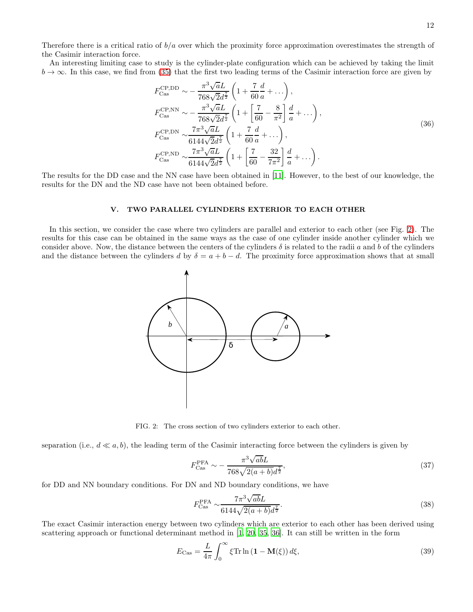Therefore there is a critical ratio of  $b/a$  over which the proximity force approximation overestimates the strength of the Casimir interaction force.

An interesting limiting case to study is the cylinder-plate configuration which can be achieved by taking the limit  $b \to \infty$ . In this case, we find from [\(35\)](#page-10-0) that the first two leading terms of the Casimir interaction force are given by

$$
F_{\text{Cas}}^{\text{CP,DD}} \sim -\frac{\pi^3 \sqrt{a} L}{768 \sqrt{2} d^{\frac{7}{2}}} \left( 1 + \frac{7}{60} \frac{d}{a} + \dots \right),
$$
  
\n
$$
F_{\text{Cas}}^{\text{CP,NN}} \sim -\frac{\pi^3 \sqrt{a} L}{768 \sqrt{2} d^{\frac{7}{2}}} \left( 1 + \left[ \frac{7}{60} - \frac{8}{\pi^2} \right] \frac{d}{a} + \dots \right),
$$
  
\n
$$
F_{\text{Cas}}^{\text{CP,DN}} \sim \frac{7\pi^3 \sqrt{a} L}{6144 \sqrt{2} d^{\frac{7}{2}}} \left( 1 + \frac{7}{60} \frac{d}{a} + \dots \right),
$$
  
\n
$$
F_{\text{Cas}}^{\text{CP,ND}} \sim \frac{7\pi^3 \sqrt{a} L}{6144 \sqrt{2} d^{\frac{7}{2}}} \left( 1 + \left[ \frac{7}{60} - \frac{32}{7\pi^2} \right] \frac{d}{a} + \dots \right).
$$
\n(36)

<span id="page-11-1"></span>The results for the DD case and the NN case have been obtained in [\[11](#page-16-7)]. However, to the best of our knowledge, the results for the DN and the ND case have not been obtained before.

### V. TWO PARALLEL CYLINDERS EXTERIOR TO EACH OTHER

In this section, we consider the case where two cylinders are parallel and exterior to each other (see Fig. [2\)](#page-11-0). The results for this case can be obtained in the same ways as the case of one cylinder inside another cylinder which we consider above. Now, the distance between the centers of the cylinders  $\delta$  is related to the radii a and b of the cylinders and the distance between the cylinders d by  $\delta = a + b - d$ . The proximity force approximation shows that at small



<span id="page-11-0"></span>FIG. 2: The cross section of two cylinders exterior to each other.

separation (i.e.,  $d \ll a, b$ ), the leading term of the Casimir interacting force between the cylinders is given by

$$
F_{\text{Cas}}^{\text{PFA}} \sim -\frac{\pi^3 \sqrt{ab} L}{768\sqrt{2(a+b)}d^{\frac{7}{2}}},\tag{37}
$$

for DD and NN boundary conditions. For DN and ND boundary conditions, we have

$$
F_{\text{Cas}}^{\text{PFA}} \sim \frac{7\pi^3 \sqrt{ab} L}{6144\sqrt{2(a+b)}d^{\frac{7}{2}}}.
$$
\n(38)

The exact Casimir interaction energy between two cylinders which are exterior to each other has been derived using scattering approach or functional determinant method in [\[1,](#page-16-0) [20,](#page-16-8) [35,](#page-17-10) [36\]](#page-17-9). It can still be written in the form

$$
E_{\text{Cas}} = \frac{L}{4\pi} \int_0^\infty \xi \text{Tr} \ln\left(\mathbf{1} - \mathbf{M}(\xi)\right) d\xi,\tag{39}
$$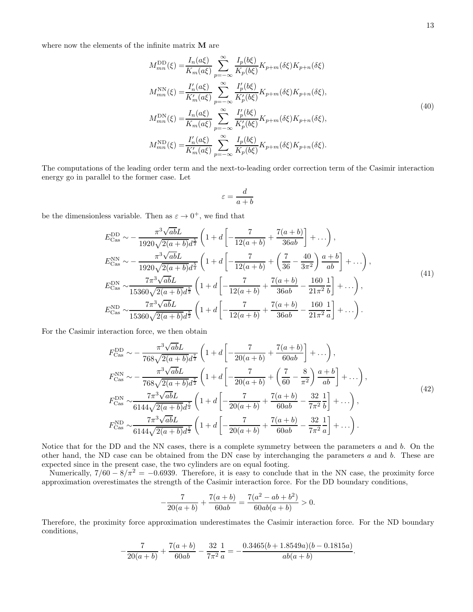where now the elements of the infinite matrix **M** are

$$
M_{mn}^{\text{DD}}(\xi) = \frac{I_n(a\xi)}{K_m(a\xi)} \sum_{p=-\infty}^{\infty} \frac{I_p(b\xi)}{K_p(b\xi)} K_{p+m}(\delta\xi) K_{p+n}(\delta\xi)
$$
  
\n
$$
M_{mn}^{\text{NN}}(\xi) = \frac{I'_n(a\xi)}{K'_m(a\xi)} \sum_{p=-\infty}^{\infty} \frac{I'_p(b\xi)}{K'_p(b\xi)} K_{p+m}(\delta\xi) K_{p+n}(\delta\xi),
$$
  
\n
$$
M_{mn}^{\text{DN}}(\xi) = \frac{I_n(a\xi)}{K_m(a\xi)} \sum_{p=-\infty}^{\infty} \frac{I'_p(b\xi)}{K'_p(b\xi)} K_{p+m}(\delta\xi) K_{p+n}(\delta\xi),
$$
  
\n
$$
M_{mn}^{\text{ND}}(\xi) = \frac{I'_n(a\xi)}{K'_m(a\xi)} \sum_{p=-\infty}^{\infty} \frac{I_p(b\xi)}{K_p(b\xi)} K_{p+m}(\delta\xi) K_{p+n}(\delta\xi).
$$
  
\n(40)

The computations of the leading order term and the next-to-leading order correction term of the Casimir interaction energy go in parallel to the former case. Let

$$
\varepsilon = \frac{d}{a+b}
$$

be the dimensionless variable. Then as  $\varepsilon \to 0^+$ , we find that

$$
E_{\text{Cas}}^{\text{DD}} \sim -\frac{\pi^3 \sqrt{ab} L}{1920 \sqrt{2(a+b)} d^{\frac{5}{2}}} \left( 1 + d \left[ -\frac{7}{12(a+b)} + \frac{7(a+b)}{36ab} \right] + \dots \right),
$$
  
\n
$$
E_{\text{Cas}}^{\text{NN}} \sim -\frac{\pi^3 \sqrt{ab} L}{1920 \sqrt{2(a+b)} d^{\frac{5}{2}}} \left( 1 + d \left[ -\frac{7}{12(a+b)} + \left( \frac{7}{36} - \frac{40}{3\pi^2} \right) \frac{a+b}{ab} \right] + \dots \right),
$$
  
\n
$$
E_{\text{Cas}}^{\text{DN}} \sim \frac{7\pi^3 \sqrt{ab} L}{15360 \sqrt{2(a+b)} d^{\frac{5}{2}}} \left( 1 + d \left[ -\frac{7}{12(a+b)} + \frac{7(a+b)}{36ab} - \frac{160}{21\pi^2} \frac{1}{b} \right] + \dots \right),
$$
  
\n
$$
E_{\text{Cas}}^{\text{ND}} \sim \frac{7\pi^3 \sqrt{ab} L}{15360 \sqrt{2(a+b)} d^{\frac{5}{2}}} \left( 1 + d \left[ -\frac{7}{12(a+b)} + \frac{7(a+b)}{36ab} - \frac{160}{21\pi^2} \frac{1}{a} \right] + \dots \right).
$$
  
\n(41)

<span id="page-12-0"></span>For the Casimir interaction force, we then obtain

$$
F_{\text{Cas}}^{\text{DD}} \sim -\frac{\pi^3 \sqrt{ab} L}{768 \sqrt{2(a+b)} d^{\frac{7}{2}}} \left(1 + d \left[ -\frac{7}{20(a+b)} + \frac{7(a+b)}{60ab} \right] + \ldots \right),
$$
  
\n
$$
F_{\text{Cas}}^{\text{NN}} \sim -\frac{\pi^3 \sqrt{ab} L}{768 \sqrt{2(a+b)} d^{\frac{7}{2}}} \left(1 + d \left[ -\frac{7}{20(a+b)} + \left(\frac{7}{60} - \frac{8}{\pi^2}\right) \frac{a+b}{ab} \right] + \ldots \right),
$$
  
\n
$$
F_{\text{Cas}}^{\text{DN}} \sim \frac{7\pi^3 \sqrt{ab} L}{6144 \sqrt{2(a+b)} d^{\frac{7}{2}}} \left(1 + d \left[ -\frac{7}{20(a+b)} + \frac{7(a+b)}{60ab} - \frac{32}{7\pi^2} \frac{1}{b} \right] + \ldots \right),
$$
  
\n
$$
F_{\text{Cas}}^{\text{ND}} \sim \frac{7\pi^3 \sqrt{ab} L}{6144 \sqrt{2(a+b)} d^{\frac{7}{2}}} \left(1 + d \left[ -\frac{7}{20(a+b)} + \frac{7(a+b)}{60ab} - \frac{32}{7\pi^2} \frac{1}{a} \right] + \ldots \right).
$$
  
\n(42)

<span id="page-12-1"></span>Notice that for the DD and the NN cases, there is a complete symmetry between the parameters  $a$  and  $b$ . On the other hand, the ND case can be obtained from the DN case by interchanging the parameters a and b. These are expected since in the present case, the two cylinders are on equal footing.

Numerically,  $7/60 - 8/\pi^2 = -0.6939$ . Therefore, it is easy to conclude that in the NN case, the proximity force approximation overestimates the strength of the Casimir interaction force. For the DD boundary conditions,

$$
-\frac{7}{20(a+b)} + \frac{7(a+b)}{60ab} = \frac{7(a^2 - ab + b^2)}{60ab(a+b)} > 0.
$$

Therefore, the proximity force approximation underestimates the Casimir interaction force. For the ND boundary conditions,

$$
-\frac{7}{20(a+b)} + \frac{7(a+b)}{60ab} - \frac{32}{7\pi^2} \frac{1}{a} = -\frac{0.3465(b+1.8549a)(b-0.1815a)}{ab(a+b)}.
$$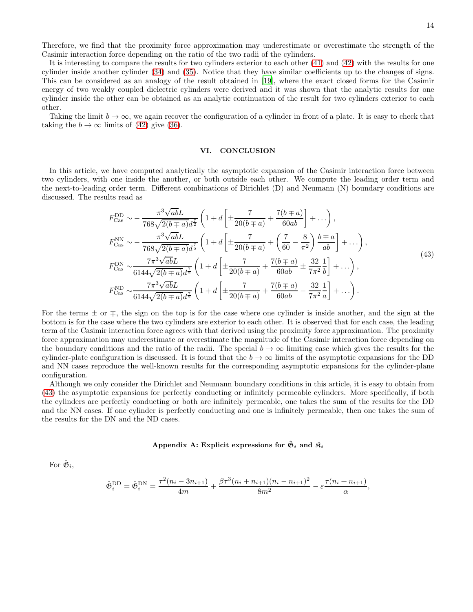Therefore, we find that the proximity force approximation may underestimate or overestimate the strength of the Casimir interaction force depending on the ratio of the two radii of the cylinders.

It is interesting to compare the results for two cylinders exterior to each other [\(41\)](#page-12-0) and [\(42\)](#page-12-1) with the results for one cylinder inside another cylinder [\(34\)](#page-10-1) and [\(35\)](#page-10-0). Notice that they have similar coefficients up to the changes of signs. This can be considered as an analogy of the result obtained in [\[19](#page-16-12)], where the exact closed forms for the Casimir energy of two weakly coupled dielectric cylinders were derived and it was shown that the analytic results for one cylinder inside the other can be obtained as an analytic continuation of the result for two cylinders exterior to each other.

Taking the limit  $b \to \infty$ , we again recover the configuration of a cylinder in front of a plate. It is easy to check that taking the  $b \to \infty$  limits of [\(42\)](#page-12-1) give [\(36\)](#page-11-1).

#### VI. CONCLUSION

In this article, we have computed analytically the asymptotic expansion of the Casimir interaction force between two cylinders, with one inside the another, or both outside each other. We compute the leading order term and the next-to-leading order term. Different combinations of Dirichlet (D) and Neumann (N) boundary conditions are discussed. The results read as

$$
F_{\text{Cas}}^{\text{DD}} \sim -\frac{\pi^3 \sqrt{ab} L}{768 \sqrt{2(b+a)} d^{\frac{7}{2}}} \left( 1 + d \left[ \pm \frac{7}{20(b+a)} + \frac{7(b+a)}{60ab} \right] + \ldots \right),
$$
  
\n
$$
F_{\text{Cas}}^{\text{NN}} \sim -\frac{\pi^3 \sqrt{ab} L}{768 \sqrt{2(b+a)} d^{\frac{7}{2}}} \left( 1 + d \left[ \pm \frac{7}{20(b+a)} + \left( \frac{7}{60} - \frac{8}{\pi^2} \right) \frac{b \mp a}{ab} \right] + \ldots \right),
$$
  
\n
$$
F_{\text{Cas}}^{\text{DN}} \sim \frac{7\pi^3 \sqrt{ab} L}{6144 \sqrt{2(b+a)} d^{\frac{7}{2}}} \left( 1 + d \left[ \pm \frac{7}{20(b+a)} + \frac{7(b+a)}{60ab} \pm \frac{32}{7\pi^2} \frac{1}{b} \right] + \ldots \right),
$$
  
\n
$$
F_{\text{Cas}}^{\text{ND}} \sim \frac{7\pi^3 \sqrt{ab} L}{6144 \sqrt{2(b+a)} d^{\frac{7}{2}}} \left( 1 + d \left[ \pm \frac{7}{20(b+a)} + \frac{7(b+a)}{60ab} - \frac{32}{7\pi^2} \frac{1}{a} \right] + \ldots \right).
$$
  
\n(43)

<span id="page-13-1"></span>For the terms  $\pm$  or  $\mp$ , the sign on the top is for the case where one cylinder is inside another, and the sign at the bottom is for the case where the two cylinders are exterior to each other. It is observed that for each case, the leading term of the Casimir interaction force agrees with that derived using the proximity force approximation. The proximity force approximation may underestimate or overestimate the magnitude of the Casimir interaction force depending on the boundary conditions and the ratio of the radii. The special  $b \to \infty$  limiting case which gives the results for the cylinder-plate configuration is discussed. It is found that the  $b \to \infty$  limits of the asymptotic expansions for the DD and NN cases reproduce the well-known results for the corresponding asymptotic expansions for the cylinder-plane configuration.

Although we only consider the Dirichlet and Neumann boundary conditions in this article, it is easy to obtain from [\(43\)](#page-13-1) the asymptotic expansions for perfectly conducting or infinitely permeable cylinders. More specifically, if both the cylinders are perfectly conducting or both are infinitely permeable, one takes the sum of the results for the DD and the NN cases. If one cylinder is perfectly conducting and one is infinitely permeable, then one takes the sum of the results for the DN and the ND cases.

## <span id="page-13-0"></span>Appendix A: Explicit expressions for  $\hat{\mathfrak{G}}_i$  and  $\mathfrak{K}_i$

For  $\hat{\mathfrak{G}}_i$ ,

$$
\hat{\mathfrak{G}}_i^{\text{DD}} = \hat{\mathfrak{G}}_i^{\text{DN}} = \frac{\tau^2 (n_i - 3n_{i+1})}{4m} + \frac{\beta \tau^3 (n_i + n_{i+1}) (n_i - n_{i+1})^2}{8m^2} - \varepsilon \frac{\tau (n_i + n_{i+1})}{\alpha},
$$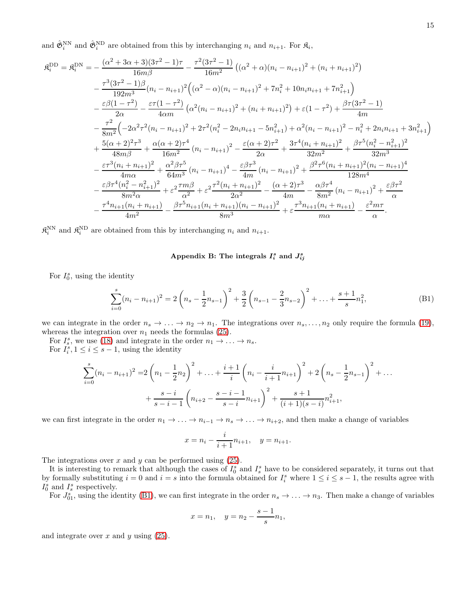and  $\hat{\mathfrak{G}}_i^{\text{NN}}$  and  $\hat{\mathfrak{G}}_i^{\text{ND}}$  are obtained from this by interchanging  $n_i$  and  $n_{i+1}$ . For  $\mathfrak{K}_i$ ,

$$
\mathfrak{K}_{i}^{\text{DD}} = \mathfrak{K}_{i}^{\text{DN}} = -\frac{(\alpha^{2} + 3\alpha + 3)(3\tau^{2} - 1)\tau}{16m\beta} - \frac{\tau^{2}(3\tau^{2} - 1)}{16m^{2}} \left( (\alpha^{2} + \alpha)(n_{i} - n_{i+1})^{2} + (n_{i} + n_{i+1})^{2} \right) \n- \frac{\tau^{3}(3\tau^{2} - 1)\beta}{192m^{3}} (n_{i} - n_{i+1})^{2} \left( (\alpha^{2} - \alpha)(n_{i} - n_{i+1})^{2} + 7n_{i}^{2} + 10n_{i}n_{i+1} + 7n_{i+1}^{2} \right) \n- \frac{\varepsilon\beta(1 - \tau^{2})}{2\alpha} - \frac{\varepsilon\tau(1 - \tau^{2})}{4\alpha m} \left( \alpha^{2}(n_{i} - n_{i+1})^{2} + (n_{i} + n_{i+1})^{2} \right) + \varepsilon(1 - \tau^{2}) + \frac{\beta\tau(3\tau^{2} - 1)}{4m} \n- \frac{\tau^{2}}{8m^{2}} \left( -2\alpha^{2}\tau^{2}(n_{i} - n_{i+1})^{2} + 2\tau^{2}(n_{i}^{2} - 2n_{i}n_{i+1} - 5n_{i+1}^{2}) + \alpha^{2}(n_{i} - n_{i+1})^{2} - n_{i}^{2} + 2n_{i}n_{i+1} + 3n_{i+1}^{2} \right) \n+ \frac{5(\alpha + 2)^{2}\tau^{3}}{48m\beta} + \frac{\alpha(\alpha + 2)\tau^{4}}{16m^{2}} (n_{i} - n_{i+1})^{2} - \frac{\varepsilon(\alpha + 2)\tau^{2}}{2\alpha} + \frac{3\tau^{4}(n_{i} + n_{i+1})^{2}}{32m^{2}} + \frac{\beta\tau^{5}(n_{i}^{2} - n_{i+1}^{2})^{2}}{32m^{3}} \n- \frac{\varepsilon\tau^{3}(n_{i} + n_{i+1})^{2}}{4m\alpha} + \frac{\alpha^{2}\beta\tau^{5}}{64m^{3}} (n_{i} - n_{i+1})^{4} - \frac{\varepsilon\beta\tau^{3}}{4
$$

 $\mathfrak{K}_i^{\text{NN}}$  and  $\mathfrak{K}_i^{\text{ND}}$  are obtained from this by interchanging  $n_i$  and  $n_{i+1}$ .

## <span id="page-14-0"></span>Appendix B: The integrals  $I_i^s$  and  $J_{ij}^s$

For  $I_0^s$ , using the identity

<span id="page-14-1"></span>
$$
\sum_{i=0}^{s} (n_i - n_{i+1})^2 = 2\left(n_s - \frac{1}{2}n_{s-1}\right)^2 + \frac{3}{2}\left(n_{s-1} - \frac{2}{3}n_{s-2}\right)^2 + \dots + \frac{s+1}{s}n_1^2,
$$
\n(B1)

we can integrate in the order  $n_s \to \ldots \to n_2 \to n_1$ . The integrations over  $n_s, \ldots, n_2$  only require the formula [\(19\)](#page-7-1), whereas the integration over  $n_1$  needs the formulas [\(25\)](#page-8-2).

For  $I_s^s$ , we use [\(18\)](#page-7-2) and integrate in the order  $n_1 \rightarrow \ldots \rightarrow n_s$ .

For  $I_i^s, 1 \leq i \leq s-1$ , using the identity

$$
\sum_{i=0}^{s} (n_i - n_{i+1})^2 = 2\left(n_1 - \frac{1}{2}n_2\right)^2 + \ldots + \frac{i+1}{i}\left(n_i - \frac{i}{i+1}n_{i+1}\right)^2 + 2\left(n_s - \frac{1}{2}n_{s-1}\right)^2 + \ldots + \frac{s-i}{s-i-1}\left(n_{i+2} - \frac{s-i-1}{s-i}n_{i+1}\right)^2 + \frac{s+1}{(i+1)(s-i)}n_{i+1}^2,
$$

we can first integrate in the order  $n_1 \to \ldots \to n_{i-1} \to n_s \to \ldots \to n_{i+2}$ , and then make a change of variables

$$
x = n_i - \frac{i}{i+1}n_{i+1}, \quad y = n_{i+1}.
$$

The integrations over  $x$  and  $y$  can be performed using  $(25)$ .

It is interesting to remark that although the cases of  $I_0^s$  and  $I_s^s$  have to be considered separately, it turns out that by formally substituting  $i = 0$  and  $i = s$  into the formula obtained for  $I_i^s$  where  $1 \le i \le s - 1$ , the results agree with  $I_0^s$  and  $I_s^s$  respectively.

For  $J_{01}^s$ , using the identity [\(B1\)](#page-14-1), we can first integrate in the order  $n_s \to \ldots \to n_3$ . Then make a change of variables

$$
x = n_1
$$
,  $y = n_2 - \frac{s-1}{s}n_1$ ,

and integrate over  $x$  and  $y$  using  $(25)$ .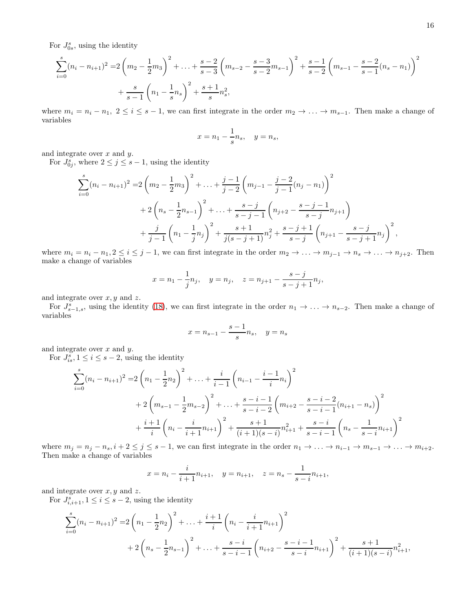For  $J_{0s}^s$ , using the identity

$$
\sum_{i=0}^{s} (n_i - n_{i+1})^2 = 2\left(m_2 - \frac{1}{2}m_3\right)^2 + \dots + \frac{s-2}{s-3}\left(m_{s-2} - \frac{s-3}{s-2}m_{s-1}\right)^2 + \frac{s-1}{s-2}\left(m_{s-1} - \frac{s-2}{s-1}(n_s - n_1)\right)^2 + \frac{s}{s-1}\left(n_1 - \frac{1}{s}n_s\right)^2 + \frac{s+1}{s}n_s^2,
$$

where  $m_i = n_i - n_1, 2 \le i \le s - 1$ , we can first integrate in the order  $m_2 \to \ldots \to m_{s-1}$ . Then make a change of variables

$$
x = n_1 - \frac{1}{s}n_s, \quad y = n_s,
$$

and integrate over  $x$  and  $y$ .

For  $J_{0j}^s$ , where  $2 \leq j \leq s-1$ , using the identity

$$
\sum_{i=0}^{s} (n_i - n_{i+1})^2 = 2\left(m_2 - \frac{1}{2}m_3\right)^2 + \dots + \frac{j-1}{j-2}\left(m_{j-1} - \frac{j-2}{j-1}(n_j - n_1)\right)^2
$$
  
+ 
$$
2\left(n_s - \frac{1}{2}n_{s-1}\right)^2 + \dots + \frac{s-j}{s-j-1}\left(n_{j+2} - \frac{s-j-1}{s-j}n_{j+1}\right)
$$
  
+ 
$$
\frac{j}{j-1}\left(n_1 - \frac{1}{j}n_j\right)^2 + \frac{s+1}{j(s-j+1)}n_j^2 + \frac{s-j+1}{s-j}\left(n_{j+1} - \frac{s-j}{s-j+1}n_j\right)^2,
$$

where  $m_i = n_i - n_1, 2 \le i \le j - 1$ , we can first integrate in the order  $m_2 \to \ldots \to m_{j-1} \to n_s \to \ldots \to n_{j+2}$ . Then make a change of variables

$$
x = n_1 - \frac{1}{j}n_j
$$
,  $y = n_j$ ,  $z = n_{j+1} - \frac{s-j}{s-j+1}n_j$ ,

and integrate over  $x, y$  and  $z$ .

For  $J_{s-1,s}^s$ , using the identity [\(18\)](#page-7-2), we can first integrate in the order  $n_1 \rightarrow \ldots \rightarrow n_{s-2}$ . Then make a change of variables

$$
x=n_{s-1}-\frac{s-1}{s}n_s,\quad y=n_s
$$

and integrate over  $x$  and  $y$ .

For  $J_{is}^s, 1 \leq i \leq s-2$ , using the identity

$$
\sum_{i=0}^{s} (n_i - n_{i+1})^2 = 2\left(n_1 - \frac{1}{2}n_2\right)^2 + \ldots + \frac{i}{i-1}\left(n_{i-1} - \frac{i-1}{i}n_i\right)^2
$$
  
+  $2\left(m_{s-1} - \frac{1}{2}m_{s-2}\right)^2 + \ldots + \frac{s-i-1}{s-i-2}\left(m_{i+2} - \frac{s-i-2}{s-i-1}(n_{i+1} - n_s)\right)^2$   
+  $\frac{i+1}{i}\left(n_i - \frac{i}{i+1}n_{i+1}\right)^2 + \frac{s+1}{(i+1)(s-i)}n_{i+1}^2 + \frac{s-i}{s-i-1}\left(n_s - \frac{1}{s-i}n_{i+1}\right)^2$ 

where  $m_j = n_j - n_s$ ,  $i + 2 \le j \le s - 1$ , we can first integrate in the order  $n_1 \to \ldots \to n_{i-1} \to m_{s-1} \to \ldots \to m_{i+2}$ . Then make a change of variables

$$
x = n_i - \frac{i}{i+1}n_{i+1}, \quad y = n_{i+1}, \quad z = n_s - \frac{1}{s-i}n_{i+1},
$$

and integrate over  $x, y$  and  $z$ .

For  $J_{i,i+1}^s, 1 \leq i \leq s-2$ , using the identity

$$
\sum_{i=0}^{s} (n_i - n_{i+1})^2 = 2\left(n_1 - \frac{1}{2}n_2\right)^2 + \ldots + \frac{i+1}{i}\left(n_i - \frac{i}{i+1}n_{i+1}\right)^2
$$
  
+ 
$$
2\left(n_s - \frac{1}{2}n_{s-1}\right)^2 + \ldots + \frac{s-i}{s-i-1}\left(n_{i+2} - \frac{s-i-1}{s-i}n_{i+1}\right)^2 + \frac{s+1}{(i+1)(s-i)}n_{i+1}^2,
$$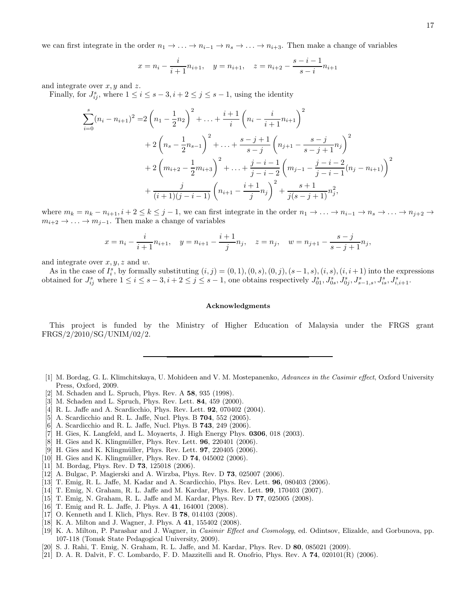we can first integrate in the order  $n_1 \to \ldots \to n_{i-1} \to n_s \to \ldots \to n_{i+3}$ . Then make a change of variables

$$
x = n_i - \frac{i}{i+1}n_{i+1}, \quad y = n_{i+1}, \quad z = n_{i+2} - \frac{s-i-1}{s-i}n_{i+1}
$$

and integrate over  $x, y$  and  $z$ .

Finally, for  $J_{ij}^s$ , where  $1 \le i \le s - 3, i + 2 \le j \le s - 1$ , using the identity

$$
\sum_{i=0}^{s} (n_i - n_{i+1})^2 = 2\left(n_1 - \frac{1}{2}n_2\right)^2 + \ldots + \frac{i+1}{i}\left(n_i - \frac{i}{i+1}n_{i+1}\right)^2
$$
  
+  $2\left(n_s - \frac{1}{2}n_{s-1}\right)^2 + \ldots + \frac{s-j+1}{s-j}\left(n_{j+1} - \frac{s-j}{s-j+1}n_j\right)^2$   
+  $2\left(m_{i+2} - \frac{1}{2}m_{i+3}\right)^2 + \ldots + \frac{j-i-1}{j-i-2}\left(m_{j-1} - \frac{j-i-2}{j-i-1}(n_j - n_{i+1})\right)^2$   
+  $\frac{j}{(i+1)(j-i-1)}\left(n_{i+1} - \frac{i+1}{j}n_j\right)^2 + \frac{s+1}{j(s-j+1)}n_j^2$ ,

where  $m_k = n_k - n_{i+1}, i+2 \leq k \leq j-1$ , we can first integrate in the order  $n_1 \to \ldots \to n_{i-1} \to n_s \to \ldots \to n_{j+2} \to$  $m_{i+2} \to \ldots \to m_{j-1}$ . Then make a change of variables

$$
x = n_i - \frac{i}{i+1}n_{i+1}, \quad y = n_{i+1} - \frac{i+1}{j}n_j, \quad z = n_j, \quad w = n_{j+1} - \frac{s-j}{s-j+1}n_j,
$$

and integrate over  $x, y, z$  and  $w$ .

As in the case of  $I_i^s$ , by formally substituting  $(i, j) = (0, 1), (0, s), (0, j), (s - 1, s), (i, s), (i, i + 1)$  into the expressions obtained for  $J_{ij}^s$  where  $1 \le i \le s-3, i+2 \le j \le s-1$ , one obtains respectively  $J_{01}^s, J_{0s}^s, J_{0j}^s, J_{s-1,s}^s, J_{is}^s, J_{i,i+1}^s$ .

## Acknowledgments

This project is funded by the Ministry of Higher Education of Malaysia under the FRGS grant FRGS/2/2010/SG/UNIM/02/2.

- <span id="page-16-0"></span>[1] M. Bordag, G. L. Klimchitskaya, U. Mohideen and V. M. Mostepanenko, Advances in the Casimir effect, Oxford University Press, Oxford, 2009.
- <span id="page-16-1"></span>[2] M. Schaden and L. Spruch, Phys. Rev. A 58, 935 (1998).
- <span id="page-16-2"></span>[3] M. Schaden and L. Spruch, Phys. Rev. Lett. 84, 459 (2000).
- <span id="page-16-3"></span>[4] R. L. Jaffe and A. Scardicchio, Phys. Rev. Lett. 92, 070402 (2004).
- [5] A. Scardicchio and R. L. Jaffe, Nucl. Phys. B 704, 552 (2005).
- <span id="page-16-4"></span>[6] A. Scardicchio and R. L. Jaffe, Nucl. Phys. B 743, 249 (2006).
- <span id="page-16-5"></span>[7] H. Gies, K. Langfeld, and L. Moyaerts, J. High Energy Phys. 0306, 018 (2003).
- [8] H. Gies and K. Klingmüller, Phys. Rev. Lett. **96**, 220401 (2006).
- [9] H. Gies and K. Klingmüller, Phys. Rev. Lett. **97**, 220405 (2006).
- <span id="page-16-6"></span>[10] H. Gies and K. Klingmüller, Phys. Rev. D 74, 045002 (2006).
- <span id="page-16-7"></span>[11] M. Bordag, Phys. Rev. D **73**, 125018 (2006).
- <span id="page-16-10"></span>[12] A. Bulgac, P. Magierski and A. Wirzba, Phys. Rev. D 73, 025007 (2006).
- [13] T. Emig, R. L. Jaffe, M. Kadar and A. Scardicchio, Phys. Rev. Lett. 96, 080403 (2006).
- <span id="page-16-11"></span>[14] T. Emig, N. Graham, R. L. Jaffe and M. Kardar, Phys. Rev. Lett. 99, 170403 (2007).
- [15] T. Emig, N. Graham, R. L. Jaffe and M. Kardar, Phys. Rev. D 77, 025005 (2008).
- [16] T. Emig and R. L. Jaffe, J. Phys. A 41, 164001 (2008).
- [17] O. Kenneth and I. Klich, Phys. Rev. B 78, 014103 (2008).
- [18] K. A. Milton and J. Wagner, J. Phys. A 41, 155402 (2008).
- <span id="page-16-12"></span>[19] K. A. Milton, P. Parashar and J. Wagner, in Casimir Effect and Cosmology, ed. Odintsov, Elizalde, and Gorbunova, pp. 107-118 (Tomsk State Pedagogical University, 2009).
- <span id="page-16-8"></span>[20] S. J. Rahi, T. Emig, N. Graham, R. L. Jaffe, and M. Kardar, Phys. Rev. D 80, 085021 (2009).
- <span id="page-16-9"></span>[21] D. A. R. Dalvit, F. C. Lombardo, F. D. Mazzitelli and R. Onofrio, Phys. Rev. A 74, 020101(R) (2006).